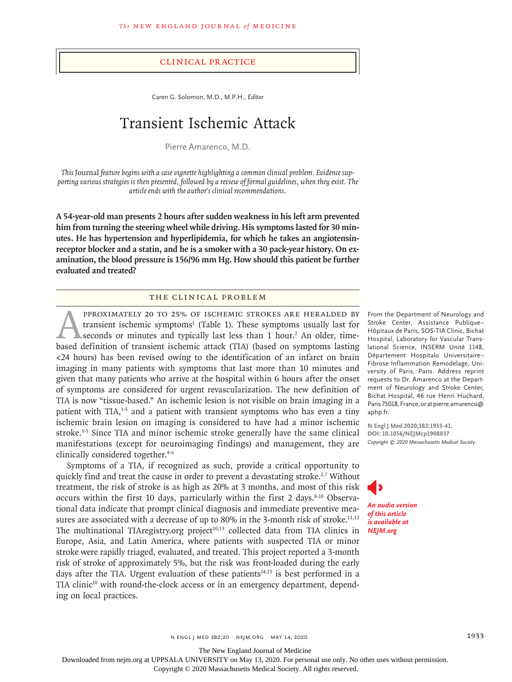## Clinical Practice

Caren G. Solomon, M.D., M.P.H., *Editor*

# Transient Ischemic Attack

Pierre Amarenco, M.D.

*This* Journal *feature begins with a case vignette highlighting a common clinical problem. Evidence supporting various strategies is then presented, followed by a review of formal guidelines, when they exist. The article ends with the author's clinical recommendations.*

**A 54-year-old man presents 2 hours after sudden weakness in his left arm prevented him from turning the steering wheel while driving. His symptoms lasted for 30 minutes. He has hypertension and hyperlipidemia, for which he takes an angiotensinreceptor blocker and a statin, and he is a smoker with a 30 pack-year history. On examination, the blood pressure is 156/96 mm Hg. How should this patient be further evaluated and treated?**

## The Clinical Problem

PPROXIMATELY 20 TO 25% OF ISCHEMIC STROKES ARE HERALDED BY<br>transient ischemic symptoms<sup>1</sup> (Table 1). These symptoms usually last for<br>seconds or minutes and typically last less than 1 hour.<sup>2</sup> An older, time-<br>based definiti transient ischemic symptoms<sup>1</sup> (Table 1). These symptoms usually last for seconds or minutes and typically last less than 1 hour.<sup>2</sup> An older, timebased definition of transient ischemic attack (TIA) (based on symptoms lasting <24 hours) has been revised owing to the identification of an infarct on brain imaging in many patients with symptoms that last more than 10 minutes and given that many patients who arrive at the hospital within 6 hours after the onset of symptoms are considered for urgent revascularization. The new definition of TIA is now "tissue-based." An ischemic lesion is not visible on brain imaging in a patient with TIA, $35$  and a patient with transient symptoms who has even a tiny ischemic brain lesion on imaging is considered to have had a minor ischemic stroke.3-5 Since TIA and minor ischemic stroke generally have the same clinical manifestations (except for neuroimaging findings) and management, they are clinically considered together.<sup>4-6</sup>

Symptoms of a TIA, if recognized as such, provide a critical opportunity to quickly find and treat the cause in order to prevent a devastating stroke.<sup>2,7</sup> Without treatment, the risk of stroke is as high as 20% at 3 months, and most of this risk occurs within the first 10 days, particularly within the first 2 days. $8-10$  Observational data indicate that prompt clinical diagnosis and immediate preventive measures are associated with a decrease of up to 80% in the 3-month risk of stroke.<sup>11,12</sup> The multinational TIAregistry.org project $10,13$  collected data from TIA clinics in Europe, Asia, and Latin America, where patients with suspected TIA or minor stroke were rapidly triaged, evaluated, and treated. This project reported a 3-month risk of stroke of approximately 5%, but the risk was front-loaded during the early days after the TIA. Urgent evaluation of these patients $14,15$  is best performed in a TIA clinic<sup>10</sup> with round-the-clock access or in an emergency department, depending on local practices.

From the Department of Neurology and Stroke Center, Assistance Publique– Hôpitaux de Paris, SOS-TIA Clinic, Bichat Hospital, Laboratory for Vascular Translational Science, INSERM Unité 1148, Département Hospitalo Universitaire– Fibrose Inflammation Remodelage, University of Paris, Paris. Address reprint requests to Dr. Amarenco at the Department of Neurology and Stroke Center, Bichat Hospital, 46 rue Henri Huchard, Paris 75018, France, or at pierre.amarenco@ aphp.fr.

**N Engl J Med 2020;382:1933-41. DOI: 10.1056/NEJMcp1908837** *Copyright © 2020 Massachusetts Medical Society.*



*An audio version of this article is available at NEJM.org*

The New England Journal of Medicine

Downloaded from nejm.org at UPPSALA UNIVERSITY on May 13, 2020. For personal use only. No other uses without permission.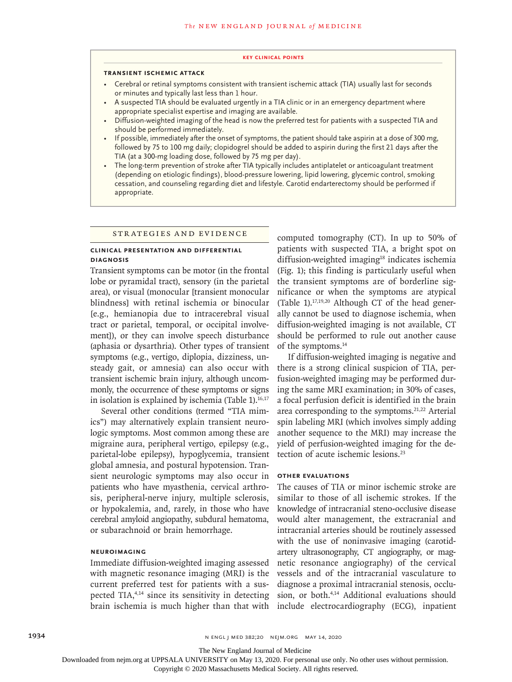#### **Key Clinical Points**

#### **Transient Ischemic Attack**

- Cerebral or retinal symptoms consistent with transient ischemic attack (TIA) usually last for seconds or minutes and typically last less than 1 hour.
- A suspected TIA should be evaluated urgently in a TIA clinic or in an emergency department where appropriate specialist expertise and imaging are available.
- Diffusion-weighted imaging of the head is now the preferred test for patients with a suspected TIA and should be performed immediately.
- If possible, immediately after the onset of symptoms, the patient should take aspirin at a dose of 300 mg, followed by 75 to 100 mg daily; clopidogrel should be added to aspirin during the first 21 days after the TIA (at a 300-mg loading dose, followed by 75 mg per day).
- The long-term prevention of stroke after TIA typically includes antiplatelet or anticoagulant treatment (depending on etiologic findings), blood-pressure lowering, lipid lowering, glycemic control, smoking cessation, and counseling regarding diet and lifestyle. Carotid endarterectomy should be performed if appropriate.

## Strategies and Evidence

# **Clinical Presentation and Differential Diagnosis**

Transient symptoms can be motor (in the frontal lobe or pyramidal tract), sensory (in the parietal area), or visual (monocular [transient monocular blindness] with retinal ischemia or binocular [e.g., hemianopia due to intracerebral visual tract or parietal, temporal, or occipital involvement]), or they can involve speech disturbance (aphasia or dysarthria). Other types of transient symptoms (e.g., vertigo, diplopia, dizziness, unsteady gait, or amnesia) can also occur with transient ischemic brain injury, although uncommonly, the occurrence of these symptoms or signs in isolation is explained by ischemia (Table 1). $16,17$ 

Several other conditions (termed "TIA mimics") may alternatively explain transient neurologic symptoms. Most common among these are migraine aura, peripheral vertigo, epilepsy (e.g., parietal-lobe epilepsy), hypoglycemia, transient global amnesia, and postural hypotension. Transient neurologic symptoms may also occur in patients who have myasthenia, cervical arthrosis, peripheral-nerve injury, multiple sclerosis, or hypokalemia, and, rarely, in those who have cerebral amyloid angiopathy, subdural hematoma, or subarachnoid or brain hemorrhage.

## **Neuroimaging**

Immediate diffusion-weighted imaging assessed with magnetic resonance imaging (MRI) is the current preferred test for patients with a suspected TIA,<sup>4,14</sup> since its sensitivity in detecting brain ischemia is much higher than that with computed tomography (CT). In up to 50% of patients with suspected TIA, a bright spot on diffusion-weighted imaging<sup>18</sup> indicates ischemia (Fig. 1); this finding is particularly useful when the transient symptoms are of borderline significance or when the symptoms are atypical (Table 1).17,19,20 Although CT of the head generally cannot be used to diagnose ischemia, when diffusion-weighted imaging is not available, CT should be performed to rule out another cause of the symptoms.14

If diffusion-weighted imaging is negative and there is a strong clinical suspicion of TIA, perfusion-weighted imaging may be performed during the same MRI examination; in 30% of cases, a focal perfusion deficit is identified in the brain area corresponding to the symptoms.<sup>21,22</sup> Arterial spin labeling MRI (which involves simply adding another sequence to the MRI) may increase the yield of perfusion-weighted imaging for the detection of acute ischemic lesions.<sup>23</sup>

## **Other Evaluations**

The causes of TIA or minor ischemic stroke are similar to those of all ischemic strokes. If the knowledge of intracranial steno-occlusive disease would alter management, the extracranial and intracranial arteries should be routinely assessed with the use of noninvasive imaging (carotidartery ultrasonography, CT angiography, or magnetic resonance angiography) of the cervical vessels and of the intracranial vasculature to diagnose a proximal intracranial stenosis, occlusion, or both.<sup>4,14</sup> Additional evaluations should include electrocardiography (ECG), inpatient

The New England Journal of Medicine

Downloaded from nejm.org at UPPSALA UNIVERSITY on May 13, 2020. For personal use only. No other uses without permission.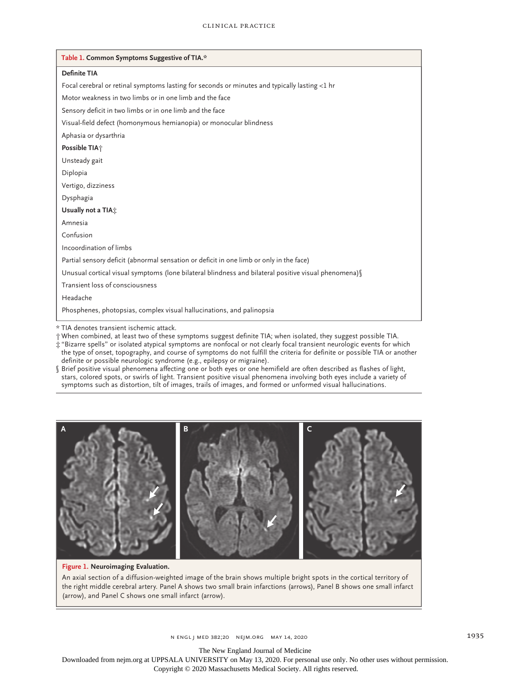| Table 1. Common Symptoms Suggestive of TIA.*                                                                      |
|-------------------------------------------------------------------------------------------------------------------|
| Definite TIA                                                                                                      |
| Focal cerebral or retinal symptoms lasting for seconds or minutes and typically lasting $<$ 1 hr                  |
| Motor weakness in two limbs or in one limb and the face                                                           |
| Sensory deficit in two limbs or in one limb and the face                                                          |
| Visual-field defect (homonymous hemianopia) or monocular blindness                                                |
| Aphasia or dysarthria                                                                                             |
| Possible TIA <sup>+</sup>                                                                                         |
| Unsteady gait                                                                                                     |
| Diplopia                                                                                                          |
| Vertigo, dizziness                                                                                                |
| Dysphagia                                                                                                         |
| Usually not a TIA <sup>+</sup>                                                                                    |
| Amnesia                                                                                                           |
| Confusion                                                                                                         |
| Incoordination of limbs                                                                                           |
| Partial sensory deficit (abnormal sensation or deficit in one limb or only in the face)                           |
| Unusual cortical visual symptoms (lone bilateral blindness and bilateral positive visual phenomena) $\mathcal{S}$ |
| Transient loss of consciousness                                                                                   |
| Headache                                                                                                          |
| Phosphenes, photopsias, complex visual hallucinations, and palinopsia                                             |

<sup>\*</sup> TIA denotes transient ischemic attack.

† When combined, at least two of these symptoms suggest definite TIA; when isolated, they suggest possible TIA.

‡ "Bizarre spells" or isolated atypical symptoms are nonfocal or not clearly focal transient neurologic events for which the type of onset, topography, and course of symptoms do not fulfill the criteria for definite or possible TIA or another

definite or possible neurologic syndrome (e.g., epilepsy or migraine). § Brief positive visual phenomena affecting one or both eyes or one hemifield are often described as flashes of light, stars, colored spots, or swirls of light. Transient positive visual phenomena involving both eyes include a variety of symptoms such as distortion, tilt of images, trails of images, and formed or unformed visual hallucinations.



#### **Figure 1. Neuroimaging Evaluation.**

An axial section of a diffusion-weighted image of the brain shows multiple bright spots in the cortical territory of the right middle cerebral artery. Panel A shows two small brain infarctions (arrows), Panel B shows one small infarct (arrow), and Panel C shows one small infarct (arrow).

n engl j med 382;20 nejm.org May 14, 2020 1935

The New England Journal of Medicine

Downloaded from nejm.org at UPPSALA UNIVERSITY on May 13, 2020. For personal use only. No other uses without permission.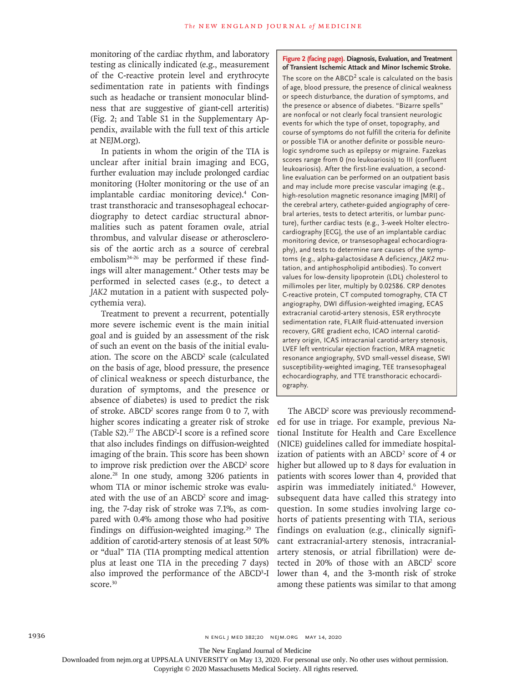monitoring of the cardiac rhythm, and laboratory testing as clinically indicated (e.g., measurement of the C-reactive protein level and erythrocyte sedimentation rate in patients with findings such as headache or transient monocular blindness that are suggestive of giant-cell arteritis) (Fig. 2; and Table S1 in the Supplementary Appendix, available with the full text of this article at NEJM.org).

In patients in whom the origin of the TIA is unclear after initial brain imaging and ECG, further evaluation may include prolonged cardiac monitoring (Holter monitoring or the use of an implantable cardiac monitoring device).<sup>4</sup> Contrast transthoracic and transesophageal echocardiography to detect cardiac structural abnormalities such as patent foramen ovale, atrial thrombus, and valvular disease or atherosclerosis of the aortic arch as a source of cerebral embolism24-26 may be performed if these findings will alter management.4 Other tests may be performed in selected cases (e.g., to detect a *JAK2* mutation in a patient with suspected polycythemia vera).

Treatment to prevent a recurrent, potentially more severe ischemic event is the main initial goal and is guided by an assessment of the risk of such an event on the basis of the initial evaluation. The score on the ABCD<sup>2</sup> scale (calculated on the basis of age, blood pressure, the presence of clinical weakness or speech disturbance, the duration of symptoms, and the presence or absence of diabetes) is used to predict the risk of stroke. ABCD<sup>2</sup> scores range from 0 to 7, with higher scores indicating a greater risk of stroke (Table  $S2$ ).<sup>27</sup> The ABCD<sup>2</sup>-I score is a refined score that also includes findings on diffusion-weighted imaging of the brain. This score has been shown to improve risk prediction over the ABCD<sup>2</sup> score alone.28 In one study, among 3206 patients in whom TIA or minor ischemic stroke was evaluated with the use of an ABCD<sup>2</sup> score and imaging, the 7-day risk of stroke was 7.1%, as compared with 0.4% among those who had positive findings on diffusion-weighted imaging.<sup>29</sup> The addition of carotid-artery stenosis of at least 50% or "dual" TIA (TIA prompting medical attention plus at least one TIA in the preceding 7 days) also improved the performance of the ABCD<sup>3</sup>-I score.<sup>30</sup>

**Figure 2 (facing page). Diagnosis, Evaluation, and Treatment of Transient Ischemic Attack and Minor Ischemic Stroke.** The score on the  $ABCD<sup>2</sup>$  scale is calculated on the basis of age, blood pressure, the presence of clinical weakness or speech disturbance, the duration of symptoms, and the presence or absence of diabetes. "Bizarre spells" are nonfocal or not clearly focal transient neurologic events for which the type of onset, topography, and course of symptoms do not fulfill the criteria for definite or possible TIA or another definite or possible neurologic syndrome such as epilepsy or migraine. Fazekas scores range from 0 (no leukoariosis) to III (confluent leukoariosis). After the first-line evaluation, a secondline evaluation can be performed on an outpatient basis and may include more precise vascular imaging (e.g., high-resolution magnetic resonance imaging [MRI] of the cerebral artery, catheter-guided angiography of cerebral arteries, tests to detect arteritis, or lumbar puncture), further cardiac tests (e.g., 3-week Holter electrocardiography [ECG], the use of an implantable cardiac monitoring device, or transesophageal echocardiography), and tests to determine rare causes of the symptoms (e.g., alpha-galactosidase A deficiency, *JAK2* mutation, and antiphospholipid antibodies). To convert values for low-density lipoprotein (LDL) cholesterol to millimoles per liter, multiply by 0.02586. CRP denotes C-reactive protein, CT computed tomography, CTA CT angiography, DWI diffusion-weighted imaging, ECAS extracranial carotid-artery stenosis, ESR erythrocyte sedimentation rate, FLAIR fluid-attenuated inversion recovery, GRE gradient echo, ICAO internal carotidartery origin, ICAS intracranial carotid-artery stenosis, LVEF left ventricular ejection fraction, MRA magnetic resonance angiography, SVD small-vessel disease, SWI susceptibility-weighted imaging, TEE transesophageal echocardiography, and TTE transthoracic echocardiography.

The ABCD<sup>2</sup> score was previously recommended for use in triage. For example, previous National Institute for Health and Care Excellence (NICE) guidelines called for immediate hospitalization of patients with an  $ABCD<sup>2</sup>$  score of 4 or higher but allowed up to 8 days for evaluation in patients with scores lower than 4, provided that aspirin was immediately initiated.6 However, subsequent data have called this strategy into question. In some studies involving large cohorts of patients presenting with TIA, serious findings on evaluation (e.g., clinically significant extracranial-artery stenosis, intracranialartery stenosis, or atrial fibrillation) were detected in 20% of those with an ABCD<sup>2</sup> score lower than 4, and the 3-month risk of stroke among these patients was similar to that among

The New England Journal of Medicine

Downloaded from nejm.org at UPPSALA UNIVERSITY on May 13, 2020. For personal use only. No other uses without permission.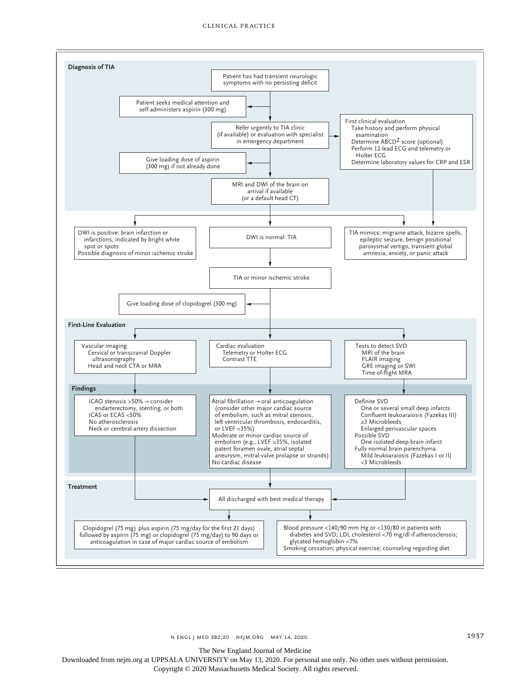#### Clinical Practice



The New England Journal of Medicine

Downloaded from nejm.org at UPPSALA UNIVERSITY on May 13, 2020. For personal use only. No other uses without permission.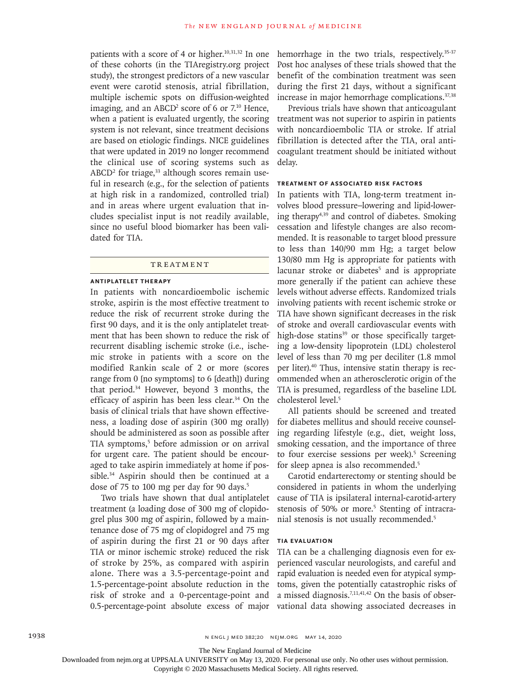patients with a score of 4 or higher.<sup>10,31,32</sup> In one of these cohorts (in the TIAregistry.org project study), the strongest predictors of a new vascular event were carotid stenosis, atrial fibrillation, multiple ischemic spots on diffusion-weighted imaging, and an ABCD<sup>2</sup> score of 6 or 7.<sup>10</sup> Hence, when a patient is evaluated urgently, the scoring system is not relevant, since treatment decisions are based on etiologic findings. NICE guidelines that were updated in 2019 no longer recommend the clinical use of scoring systems such as  $ABCD<sup>2</sup>$  for triage,<sup>33</sup> although scores remain useful in research (e.g., for the selection of patients at high risk in a randomized, controlled trial) and in areas where urgent evaluation that includes specialist input is not readily available, since no useful blood biomarker has been validated for TIA.

## **TREATMENT**

# **Antiplatelet Therapy**

In patients with noncardioembolic ischemic stroke, aspirin is the most effective treatment to reduce the risk of recurrent stroke during the first 90 days, and it is the only antiplatelet treatment that has been shown to reduce the risk of recurrent disabling ischemic stroke (i.e., ischemic stroke in patients with a score on the modified Rankin scale of 2 or more (scores range from 0 [no symptoms] to 6 [death]) during that period.34 However, beyond 3 months, the efficacy of aspirin has been less clear.<sup>34</sup> On the basis of clinical trials that have shown effectiveness, a loading dose of aspirin (300 mg orally) should be administered as soon as possible after TIA symptoms,<sup>5</sup> before admission or on arrival for urgent care. The patient should be encouraged to take aspirin immediately at home if possible.34 Aspirin should then be continued at a dose of 75 to 100 mg per day for 90 days.<sup>5</sup>

Two trials have shown that dual antiplatelet treatment (a loading dose of 300 mg of clopidogrel plus 300 mg of aspirin, followed by a maintenance dose of 75 mg of clopidogrel and 75 mg of aspirin during the first 21 or 90 days after TIA or minor ischemic stroke) reduced the risk of stroke by 25%, as compared with aspirin alone. There was a 3.5-percentage-point and 1.5-percentage-point absolute reduction in the risk of stroke and a 0-percentage-point and 0.5-percentage-point absolute excess of major hemorrhage in the two trials, respectively.<sup>35-37</sup> Post hoc analyses of these trials showed that the benefit of the combination treatment was seen during the first 21 days, without a significant increase in major hemorrhage complications.<sup>37,38</sup>

Previous trials have shown that anticoagulant treatment was not superior to aspirin in patients with noncardioembolic TIA or stroke. If atrial fibrillation is detected after the TIA, oral anticoagulant treatment should be initiated without delay.

## **Treatment of Associated Risk Factors**

In patients with TIA, long-term treatment involves blood pressure–lowering and lipid-lowering therapy4,39 and control of diabetes. Smoking cessation and lifestyle changes are also recommended. It is reasonable to target blood pressure to less than 140/90 mm Hg; a target below 130/80 mm Hg is appropriate for patients with lacunar stroke or diabetes<sup>5</sup> and is appropriate more generally if the patient can achieve these levels without adverse effects. Randomized trials involving patients with recent ischemic stroke or TIA have shown significant decreases in the risk of stroke and overall cardiovascular events with high-dose statins<sup>39</sup> or those specifically targeting a low-density lipoprotein (LDL) cholesterol level of less than 70 mg per deciliter (1.8 mmol per liter).40 Thus, intensive statin therapy is recommended when an atherosclerotic origin of the TIA is presumed, regardless of the baseline LDL cholesterol level.5

All patients should be screened and treated for diabetes mellitus and should receive counseling regarding lifestyle (e.g., diet, weight loss, smoking cessation, and the importance of three to four exercise sessions per week).<sup>5</sup> Screening for sleep apnea is also recommended.<sup>5</sup>

Carotid endarterectomy or stenting should be considered in patients in whom the underlying cause of TIA is ipsilateral internal-carotid-artery stenosis of 50% or more.<sup>5</sup> Stenting of intracranial stenosis is not usually recommended.5

## **TIA Evaluation**

TIA can be a challenging diagnosis even for experienced vascular neurologists, and careful and rapid evaluation is needed even for atypical symptoms, given the potentially catastrophic risks of a missed diagnosis.<sup>7,11,41,42</sup> On the basis of observational data showing associated decreases in

The New England Journal of Medicine

Downloaded from nejm.org at UPPSALA UNIVERSITY on May 13, 2020. For personal use only. No other uses without permission.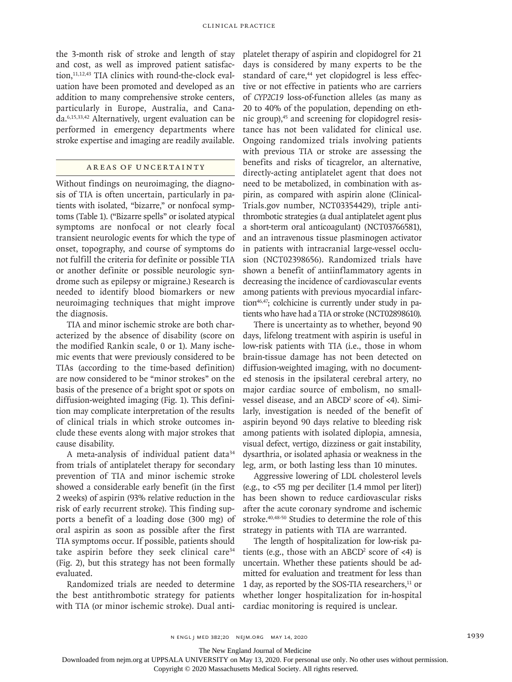the 3-month risk of stroke and length of stay and cost, as well as improved patient satisfaction,<sup>11,12,43</sup> TIA clinics with round-the-clock evaluation have been promoted and developed as an addition to many comprehensive stroke centers, particularly in Europe, Australia, and Canada.6,15,33,42 Alternatively, urgent evaluation can be performed in emergency departments where stroke expertise and imaging are readily available.

# Areas of Uncertainty

Without findings on neuroimaging, the diagnosis of TIA is often uncertain, particularly in patients with isolated, "bizarre," or nonfocal symptoms (Table 1). ("Bizarre spells" or isolated atypical symptoms are nonfocal or not clearly focal transient neurologic events for which the type of onset, topography, and course of symptoms do not fulfill the criteria for definite or possible TIA or another definite or possible neurologic syndrome such as epilepsy or migraine.) Research is needed to identify blood biomarkers or new neuroimaging techniques that might improve the diagnosis.

TIA and minor ischemic stroke are both characterized by the absence of disability (score on the modified Rankin scale, 0 or 1). Many ischemic events that were previously considered to be TIAs (according to the time-based definition) are now considered to be "minor strokes" on the basis of the presence of a bright spot or spots on diffusion-weighted imaging (Fig. 1). This definition may complicate interpretation of the results of clinical trials in which stroke outcomes include these events along with major strokes that cause disability.

A meta-analysis of individual patient data<sup>34</sup> from trials of antiplatelet therapy for secondary prevention of TIA and minor ischemic stroke showed a considerable early benefit (in the first 2 weeks) of aspirin (93% relative reduction in the risk of early recurrent stroke). This finding supports a benefit of a loading dose (300 mg) of oral aspirin as soon as possible after the first TIA symptoms occur. If possible, patients should take aspirin before they seek clinical care<sup>34</sup> (Fig. 2), but this strategy has not been formally evaluated.

Randomized trials are needed to determine the best antithrombotic strategy for patients with TIA (or minor ischemic stroke). Dual antiplatelet therapy of aspirin and clopidogrel for 21 days is considered by many experts to be the standard of care,<sup>44</sup> yet clopidogrel is less effective or not effective in patients who are carriers of *CYP2C19* loss-of-function alleles (as many as 20 to 40% of the population, depending on ethnic group),<sup>45</sup> and screening for clopidogrel resistance has not been validated for clinical use. Ongoing randomized trials involving patients with previous TIA or stroke are assessing the benefits and risks of ticagrelor, an alternative, directly-acting antiplatelet agent that does not need to be metabolized, in combination with aspirin, as compared with aspirin alone (Clinical-Trials.gov number, NCT03354429), triple antithrombotic strategies (a dual antiplatelet agent plus a short-term oral anticoagulant) (NCT03766581), and an intravenous tissue plasminogen activator in patients with intracranial large-vessel occlusion (NCT02398656). Randomized trials have shown a benefit of antiinflammatory agents in decreasing the incidence of cardiovascular events among patients with previous myocardial infarction $46,47$ ; colchicine is currently under study in patients who have had a TIA or stroke (NCT02898610).

There is uncertainty as to whether, beyond 90 days, lifelong treatment with aspirin is useful in low-risk patients with TIA (i.e., those in whom brain-tissue damage has not been detected on diffusion-weighted imaging, with no documented stenosis in the ipsilateral cerebral artery, no major cardiac source of embolism, no smallvessel disease, and an ABCD<sup>2</sup> score of <4). Similarly, investigation is needed of the benefit of aspirin beyond 90 days relative to bleeding risk among patients with isolated diplopia, amnesia, visual defect, vertigo, dizziness or gait instability, dysarthria, or isolated aphasia or weakness in the leg, arm, or both lasting less than 10 minutes.

Aggressive lowering of LDL cholesterol levels (e.g., to <55 mg per deciliter [1.4 mmol per liter]) has been shown to reduce cardiovascular risks after the acute coronary syndrome and ischemic stroke.<sup>40,48-50</sup> Studies to determine the role of this strategy in patients with TIA are warranted.

The length of hospitalization for low-risk patients (e.g., those with an ABCD<sup>2</sup> score of  $\langle 4 \rangle$  is uncertain. Whether these patients should be admitted for evaluation and treatment for less than 1 day, as reported by the SOS-TIA researchers, $11$  or whether longer hospitalization for in-hospital cardiac monitoring is required is unclear.

The New England Journal of Medicine

Downloaded from nejm.org at UPPSALA UNIVERSITY on May 13, 2020. For personal use only. No other uses without permission.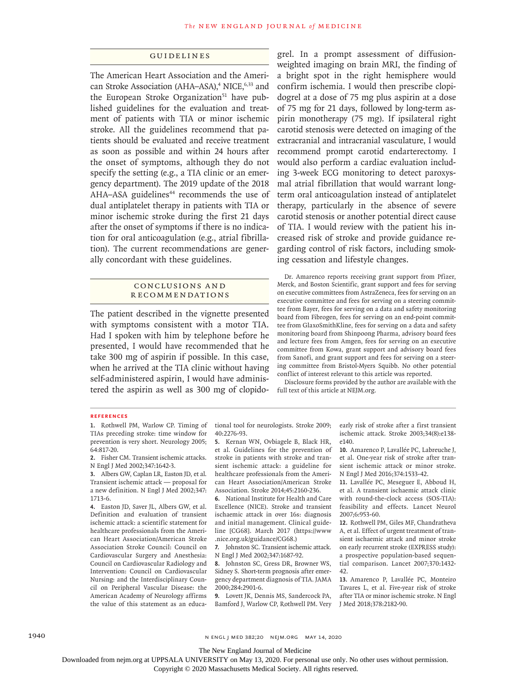## Guidelines

The American Heart Association and the American Stroke Association (AHA–ASA),<sup>4</sup> NICE,<sup>6,33</sup> and the European Stroke Organization<sup>51</sup> have published guidelines for the evaluation and treatment of patients with TIA or minor ischemic stroke. All the guidelines recommend that patients should be evaluated and receive treatment as soon as possible and within 24 hours after the onset of symptoms, although they do not specify the setting (e.g., a TIA clinic or an emergency department). The 2019 update of the 2018 AHA-ASA guidelines<sup>44</sup> recommends the use of dual antiplatelet therapy in patients with TIA or minor ischemic stroke during the first 21 days after the onset of symptoms if there is no indication for oral anticoagulation (e.g., atrial fibrillation). The current recommendations are generally concordant with these guidelines.

## Conclusions a nd **RECOMMENDATIONS**

The patient described in the vignette presented with symptoms consistent with a motor TIA. Had I spoken with him by telephone before he presented, I would have recommended that he take 300 mg of aspirin if possible. In this case, when he arrived at the TIA clinic without having self-administered aspirin, I would have administered the aspirin as well as 300 mg of clopidogrel. In a prompt assessment of diffusionweighted imaging on brain MRI, the finding of a bright spot in the right hemisphere would confirm ischemia. I would then prescribe clopidogrel at a dose of 75 mg plus aspirin at a dose of 75 mg for 21 days, followed by long-term aspirin monotherapy (75 mg). If ipsilateral right carotid stenosis were detected on imaging of the extracranial and intracranial vasculature, I would recommend prompt carotid endarterectomy. I would also perform a cardiac evaluation including 3-week ECG monitoring to detect paroxysmal atrial fibrillation that would warrant longterm oral anticoagulation instead of antiplatelet therapy, particularly in the absence of severe carotid stenosis or another potential direct cause of TIA. I would review with the patient his increased risk of stroke and provide guidance regarding control of risk factors, including smoking cessation and lifestyle changes.

Dr. Amarenco reports receiving grant support from Pfizer, Merck, and Boston Scientific, grant support and fees for serving on executive committees from AstraZeneca, fees for serving on an executive committee and fees for serving on a steering committee from Bayer, fees for serving on a data and safety monitoring board from Fibrogen, fees for serving on an end-point committee from GlaxoSmithKline, fees for serving on a data and safety monitoring board from Shinpoong Pharma, advisory board fees and lecture fees from Amgen, fees for serving on an executive committee from Kowa, grant support and advisory board fees from Sanofi, and grant support and fees for serving on a steering committee from Bristol-Myers Squibb. No other potential conflict of interest relevant to this article was reported.

Disclosure forms provided by the author are available with the full text of this article at NEJM.org.

#### **References**

- **1.** Rothwell PM, Warlow CP. Timing of TIAs preceding stroke: time window for prevention is very short. Neurology 2005; 64:817-20.
- **2.** Fisher CM. Transient ischemic attacks. N Engl J Med 2002;347:1642-3.

**3.** Albers GW, Caplan LR, Easton JD, et al. Transient ischemic attack — proposal for a new definition. N Engl J Med 2002;347: 1713-6.

**4.** Easton JD, Saver JL, Albers GW, et al. Definition and evaluation of transient ischemic attack: a scientific statement for healthcare professionals from the American Heart Association/American Stroke Association Stroke Council: Council on Cardiovascular Surgery and Anesthesia: Council on Cardiovascular Radiology and Intervention: Council on Cardiovascular Nursing: and the Interdisciplinary Council on Peripheral Vascular Disease: the American Academy of Neurology affirms the value of this statement as an educational tool for neurologists. Stroke 2009; 40:2276-93.

**5.** Kernan WN, Ovbiagele B, Black HR, et al. Guidelines for the prevention of stroke in patients with stroke and transient ischemic attack: a guideline for healthcare professionals from the American Heart Association/American Stroke Association. Stroke 2014;45:2160-236.

**6.** National Institute for Health and Care Excellence (NICE). Stroke and transient ischaemic attack in over 16s: diagnosis and initial management. Clinical guideline [CG68]. March 2017 (https://www .nice.org.uk/guidance/CG68.)

**7.** Johnston SC. Transient ischemic attack. N Engl J Med 2002;347:1687-92.

**8.** Johnston SC, Gress DR, Browner WS, Sidney S. Short-term prognosis after emergency department diagnosis of TIA. JAMA 2000;284:2901-6.

**9.** Lovett JK, Dennis MS, Sandercock PA, Bamford J, Warlow CP, Rothwell PM. Very early risk of stroke after a first transient ischemic attack. Stroke 2003;34(8):e138 e140.

**10.** Amarenco P, Lavallée PC, Labreuche J, et al. One-year risk of stroke after transient ischemic attack or minor stroke. N Engl J Med 2016;374:1533-42.

**11.** Lavallée PC, Meseguer E, Abboud H, et al. A transient ischaemic attack clinic with round-the-clock access (SOS-TIA): feasibility and effects. Lancet Neurol 2007;6:953-60.

**12.** Rothwell PM, Giles MF, Chandratheva A, et al. Effect of urgent treatment of transient ischaemic attack and minor stroke on early recurrent stroke (EXPRESS study): a prospective population-based sequential comparison. Lancet 2007;370:1432- 42.

**13.** Amarenco P, Lavallée PC, Monteiro Tavares L, et al. Five-year risk of stroke after TIA or minor ischemic stroke. N Engl J Med 2018;378:2182-90.

The New England Journal of Medicine

Downloaded from nejm.org at UPPSALA UNIVERSITY on May 13, 2020. For personal use only. No other uses without permission.